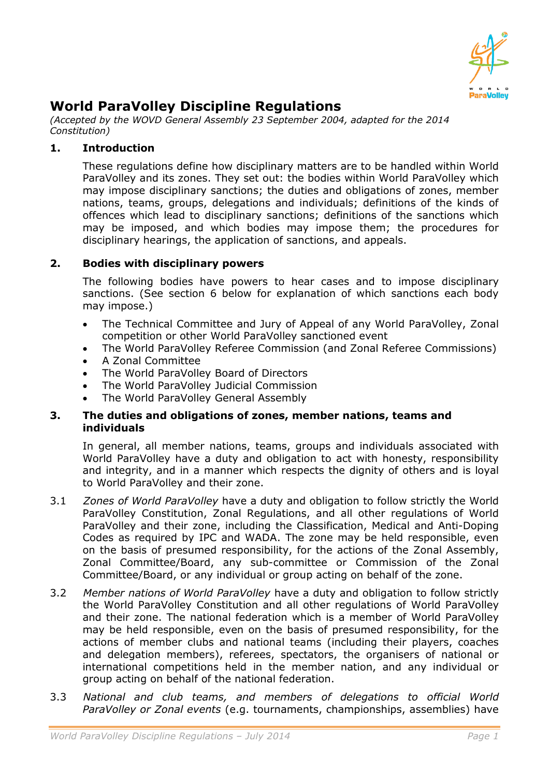

# **World ParaVolley Discipline Regulations**

*(Accepted by the WOVD General Assembly 23 September 2004, adapted for the 2014 Constitution)*

## **1. Introduction**

These regulations define how disciplinary matters are to be handled within World ParaVolley and its zones. They set out: the bodies within World ParaVolley which may impose disciplinary sanctions; the duties and obligations of zones, member nations, teams, groups, delegations and individuals; definitions of the kinds of offences which lead to disciplinary sanctions; definitions of the sanctions which may be imposed, and which bodies may impose them; the procedures for disciplinary hearings, the application of sanctions, and appeals.

### **2. Bodies with disciplinary powers**

The following bodies have powers to hear cases and to impose disciplinary sanctions. (See section 6 below for explanation of which sanctions each body may impose.)

- The Technical Committee and Jury of Appeal of any World ParaVolley, Zonal competition or other World ParaVolley sanctioned event
- The World ParaVolley Referee Commission (and Zonal Referee Commissions)
- A Zonal Committee
- The World ParaVolley Board of Directors
- The World ParaVolley Judicial Commission
- The World ParaVolley General Assembly

#### **3. The duties and obligations of zones, member nations, teams and individuals**

In general, all member nations, teams, groups and individuals associated with World ParaVolley have a duty and obligation to act with honesty, responsibility and integrity, and in a manner which respects the dignity of others and is loyal to World ParaVolley and their zone.

- 3.1 *Zones of World ParaVolley* have a duty and obligation to follow strictly the World ParaVolley Constitution, Zonal Regulations, and all other regulations of World ParaVolley and their zone, including the Classification, Medical and Anti-Doping Codes as required by IPC and WADA. The zone may be held responsible, even on the basis of presumed responsibility, for the actions of the Zonal Assembly, Zonal Committee/Board, any sub-committee or Commission of the Zonal Committee/Board, or any individual or group acting on behalf of the zone.
- 3.2 *Member nations of World ParaVolley* have a duty and obligation to follow strictly the World ParaVolley Constitution and all other regulations of World ParaVolley and their zone. The national federation which is a member of World ParaVolley may be held responsible, even on the basis of presumed responsibility, for the actions of member clubs and national teams (including their players, coaches and delegation members), referees, spectators, the organisers of national or international competitions held in the member nation, and any individual or group acting on behalf of the national federation.
- 3.3 *National and club teams, and members of delegations to official World ParaVolley or Zonal events* (e.g. tournaments, championships, assemblies) have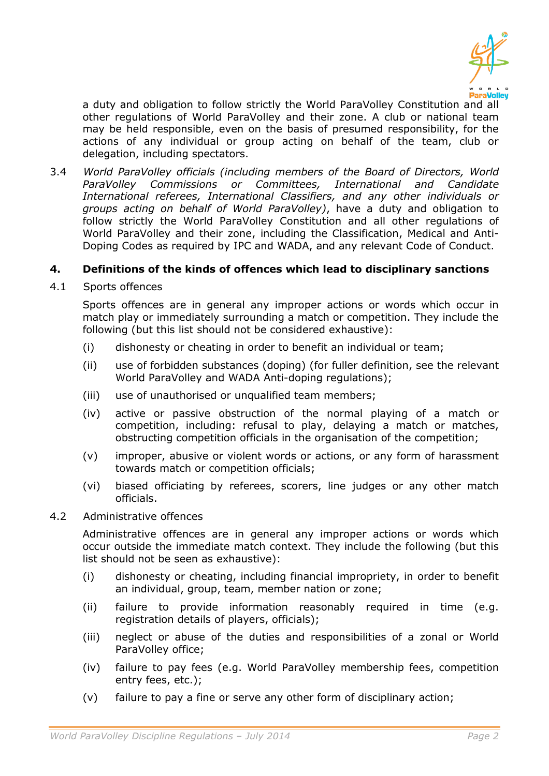

a duty and obligation to follow strictly the World ParaVolley Constitution and all other regulations of World ParaVolley and their zone. A club or national team may be held responsible, even on the basis of presumed responsibility, for the actions of any individual or group acting on behalf of the team, club or delegation, including spectators.

3.4 *World ParaVolley officials (including members of the Board of Directors, World ParaVolley Commissions or Committees, International and Candidate International referees, International Classifiers, and any other individuals or groups acting on behalf of World ParaVolley)*, have a duty and obligation to follow strictly the World ParaVolley Constitution and all other regulations of World ParaVolley and their zone, including the Classification, Medical and Anti-Doping Codes as required by IPC and WADA, and any relevant Code of Conduct.

### **4. Definitions of the kinds of offences which lead to disciplinary sanctions**

4.1 Sports offences

Sports offences are in general any improper actions or words which occur in match play or immediately surrounding a match or competition. They include the following (but this list should not be considered exhaustive):

- (i) dishonesty or cheating in order to benefit an individual or team;
- (ii) use of forbidden substances (doping) (for fuller definition, see the relevant World ParaVolley and WADA Anti-doping regulations);
- (iii) use of unauthorised or unqualified team members;
- (iv) active or passive obstruction of the normal playing of a match or competition, including: refusal to play, delaying a match or matches, obstructing competition officials in the organisation of the competition;
- (v) improper, abusive or violent words or actions, or any form of harassment towards match or competition officials;
- (vi) biased officiating by referees, scorers, line judges or any other match officials.

### 4.2 Administrative offences

Administrative offences are in general any improper actions or words which occur outside the immediate match context. They include the following (but this list should not be seen as exhaustive):

- (i) dishonesty or cheating, including financial impropriety, in order to benefit an individual, group, team, member nation or zone;
- (ii) failure to provide information reasonably required in time (e.g. registration details of players, officials);
- (iii) neglect or abuse of the duties and responsibilities of a zonal or World ParaVolley office;
- (iv) failure to pay fees (e.g. World ParaVolley membership fees, competition entry fees, etc.);
- (v) failure to pay a fine or serve any other form of disciplinary action;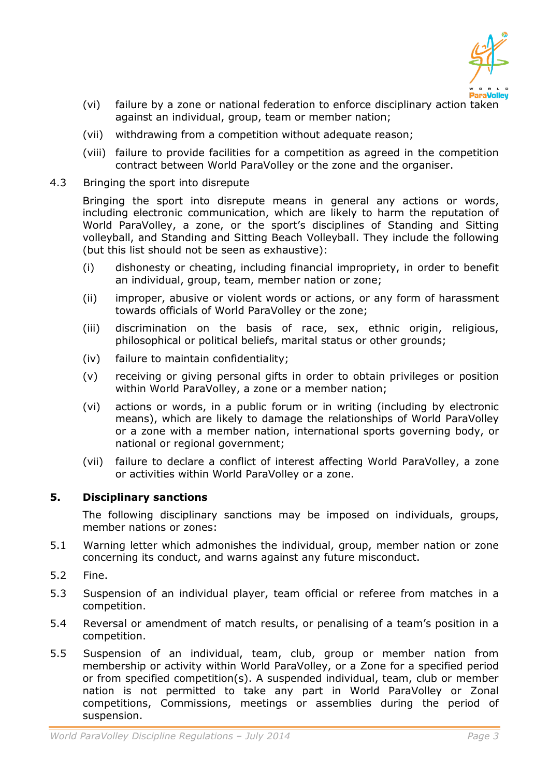

- (vi) failure by a zone or national federation to enforce disciplinary action taken against an individual, group, team or member nation;
- (vii) withdrawing from a competition without adequate reason;
- (viii) failure to provide facilities for a competition as agreed in the competition contract between World ParaVolley or the zone and the organiser.
- 4.3 Bringing the sport into disrepute

Bringing the sport into disrepute means in general any actions or words, including electronic communication, which are likely to harm the reputation of World ParaVolley, a zone, or the sport's disciplines of Standing and Sitting volleyball, and Standing and Sitting Beach Volleyball. They include the following (but this list should not be seen as exhaustive):

- (i) dishonesty or cheating, including financial impropriety, in order to benefit an individual, group, team, member nation or zone;
- (ii) improper, abusive or violent words or actions, or any form of harassment towards officials of World ParaVolley or the zone;
- (iii) discrimination on the basis of race, sex, ethnic origin, religious, philosophical or political beliefs, marital status or other grounds;
- (iv) failure to maintain confidentiality;
- (v) receiving or giving personal gifts in order to obtain privileges or position within World ParaVolley, a zone or a member nation;
- (vi) actions or words, in a public forum or in writing (including by electronic means), which are likely to damage the relationships of World ParaVolley or a zone with a member nation, international sports governing body, or national or regional government;
- (vii) failure to declare a conflict of interest affecting World ParaVolley, a zone or activities within World ParaVolley or a zone.

### **5. Disciplinary sanctions**

The following disciplinary sanctions may be imposed on individuals, groups, member nations or zones:

- 5.1 Warning letter which admonishes the individual, group, member nation or zone concerning its conduct, and warns against any future misconduct.
- 5.2 Fine.
- 5.3 Suspension of an individual player, team official or referee from matches in a competition.
- 5.4 Reversal or amendment of match results, or penalising of a team's position in a competition.
- 5.5 Suspension of an individual, team, club, group or member nation from membership or activity within World ParaVolley, or a Zone for a specified period or from specified competition(s). A suspended individual, team, club or member nation is not permitted to take any part in World ParaVolley or Zonal competitions, Commissions, meetings or assemblies during the period of suspension.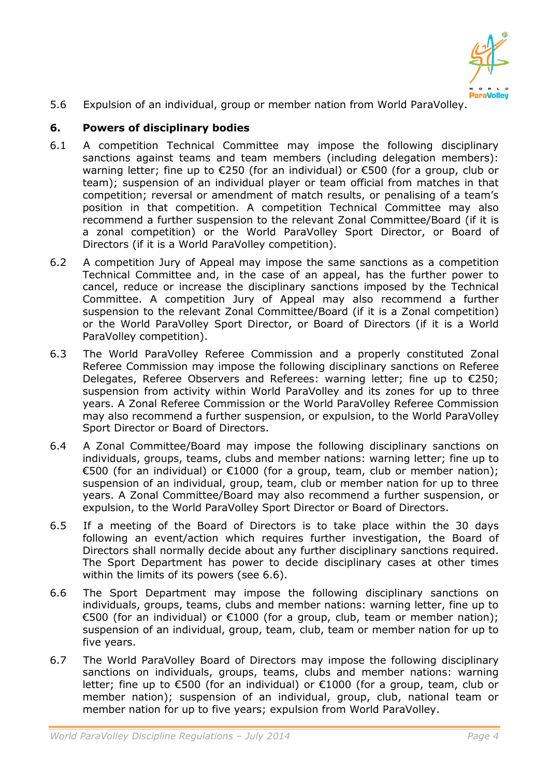

5.6 Expulsion of an individual, group or member nation from World ParaVolley.

## **6. Powers of disciplinary bodies**

- 6.1 A competition Technical Committee may impose the following disciplinary sanctions against teams and team members (including delegation members): warning letter; fine up to €250 (for an individual) or €500 (for a group, club or team); suspension of an individual player or team official from matches in that competition; reversal or amendment of match results, or penalising of a team's position in that competition. A competition Technical Committee may also recommend a further suspension to the relevant Zonal Committee/Board (if it is a zonal competition) or the World ParaVolley Sport Director, or Board of Directors (if it is a World ParaVolley competition).
- 6.2 A competition Jury of Appeal may impose the same sanctions as a competition Technical Committee and, in the case of an appeal, has the further power to cancel, reduce or increase the disciplinary sanctions imposed by the Technical Committee. A competition Jury of Appeal may also recommend a further suspension to the relevant Zonal Committee/Board (if it is a Zonal competition) or the World ParaVolley Sport Director, or Board of Directors (if it is a World ParaVolley competition).
- 6.3 The World ParaVolley Referee Commission and a properly constituted Zonal Referee Commission may impose the following disciplinary sanctions on Referee Delegates, Referee Observers and Referees: warning letter; fine up to €250; suspension from activity within World ParaVolley and its zones for up to three years. A Zonal Referee Commission or the World ParaVolley Referee Commission may also recommend a further suspension, or expulsion, to the World ParaVolley Sport Director or Board of Directors.
- 6.4 A Zonal Committee/Board may impose the following disciplinary sanctions on individuals, groups, teams, clubs and member nations: warning letter; fine up to €500 (for an individual) or €1000 (for a group, team, club or member nation); suspension of an individual, group, team, club or member nation for up to three years. A Zonal Committee/Board may also recommend a further suspension, or expulsion, to the World ParaVolley Sport Director or Board of Directors.
- 6.5 If a meeting of the Board of Directors is to take place within the 30 days following an event/action which requires further investigation, the Board of Directors shall normally decide about any further disciplinary sanctions required. The Sport Department has power to decide disciplinary cases at other times within the limits of its powers (see 6.6).
- 6.6 The Sport Department may impose the following disciplinary sanctions on individuals, groups, teams, clubs and member nations: warning letter, fine up to €500 (for an individual) or €1000 (for a group, club, team or member nation); suspension of an individual, group, team, club, team or member nation for up to five years.
- 6.7 The World ParaVolley Board of Directors may impose the following disciplinary sanctions on individuals, groups, teams, clubs and member nations: warning letter; fine up to €500 (for an individual) or €1000 (for a group, team, club or member nation); suspension of an individual, group, club, national team or member nation for up to five years; expulsion from World ParaVolley.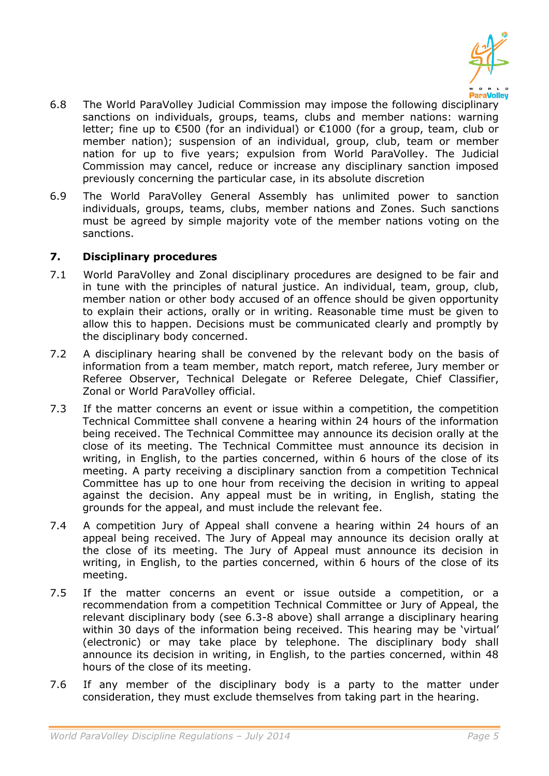

- 6.8 The World ParaVolley Judicial Commission may impose the following disciplinary sanctions on individuals, groups, teams, clubs and member nations: warning letter; fine up to €500 (for an individual) or €1000 (for a group, team, club or member nation); suspension of an individual, group, club, team or member nation for up to five years; expulsion from World ParaVolley. The Judicial Commission may cancel, reduce or increase any disciplinary sanction imposed previously concerning the particular case, in its absolute discretion
- 6.9 The World ParaVolley General Assembly has unlimited power to sanction individuals, groups, teams, clubs, member nations and Zones. Such sanctions must be agreed by simple majority vote of the member nations voting on the sanctions.

### **7. Disciplinary procedures**

- 7.1 World ParaVolley and Zonal disciplinary procedures are designed to be fair and in tune with the principles of natural justice. An individual, team, group, club, member nation or other body accused of an offence should be given opportunity to explain their actions, orally or in writing. Reasonable time must be given to allow this to happen. Decisions must be communicated clearly and promptly by the disciplinary body concerned.
- 7.2 A disciplinary hearing shall be convened by the relevant body on the basis of information from a team member, match report, match referee, Jury member or Referee Observer, Technical Delegate or Referee Delegate, Chief Classifier, Zonal or World ParaVolley official.
- 7.3 If the matter concerns an event or issue within a competition, the competition Technical Committee shall convene a hearing within 24 hours of the information being received. The Technical Committee may announce its decision orally at the close of its meeting. The Technical Committee must announce its decision in writing, in English, to the parties concerned, within 6 hours of the close of its meeting. A party receiving a disciplinary sanction from a competition Technical Committee has up to one hour from receiving the decision in writing to appeal against the decision. Any appeal must be in writing, in English, stating the grounds for the appeal, and must include the relevant fee.
- 7.4 A competition Jury of Appeal shall convene a hearing within 24 hours of an appeal being received. The Jury of Appeal may announce its decision orally at the close of its meeting. The Jury of Appeal must announce its decision in writing, in English, to the parties concerned, within 6 hours of the close of its meeting.
- 7.5 If the matter concerns an event or issue outside a competition, or a recommendation from a competition Technical Committee or Jury of Appeal, the relevant disciplinary body (see 6.3-8 above) shall arrange a disciplinary hearing within 30 days of the information being received. This hearing may be 'virtual' (electronic) or may take place by telephone. The disciplinary body shall announce its decision in writing, in English, to the parties concerned, within 48 hours of the close of its meeting.
- 7.6 If any member of the disciplinary body is a party to the matter under consideration, they must exclude themselves from taking part in the hearing.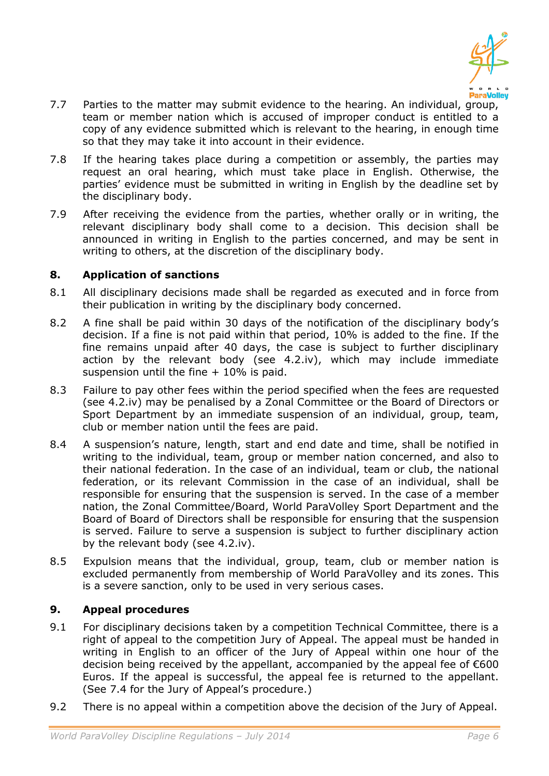

- 7.7 Parties to the matter may submit evidence to the hearing. An individual, group, team or member nation which is accused of improper conduct is entitled to a copy of any evidence submitted which is relevant to the hearing, in enough time so that they may take it into account in their evidence.
- 7.8 If the hearing takes place during a competition or assembly, the parties may request an oral hearing, which must take place in English. Otherwise, the parties' evidence must be submitted in writing in English by the deadline set by the disciplinary body.
- 7.9 After receiving the evidence from the parties, whether orally or in writing, the relevant disciplinary body shall come to a decision. This decision shall be announced in writing in English to the parties concerned, and may be sent in writing to others, at the discretion of the disciplinary body.

## **8. Application of sanctions**

- 8.1 All disciplinary decisions made shall be regarded as executed and in force from their publication in writing by the disciplinary body concerned.
- 8.2 A fine shall be paid within 30 days of the notification of the disciplinary body's decision. If a fine is not paid within that period, 10% is added to the fine. If the fine remains unpaid after 40 days, the case is subject to further disciplinary action by the relevant body (see 4.2.iv), which may include immediate suspension until the fine  $+10\%$  is paid.
- 8.3 Failure to pay other fees within the period specified when the fees are requested (see 4.2.iv) may be penalised by a Zonal Committee or the Board of Directors or Sport Department by an immediate suspension of an individual, group, team, club or member nation until the fees are paid.
- 8.4 A suspension's nature, length, start and end date and time, shall be notified in writing to the individual, team, group or member nation concerned, and also to their national federation. In the case of an individual, team or club, the national federation, or its relevant Commission in the case of an individual, shall be responsible for ensuring that the suspension is served. In the case of a member nation, the Zonal Committee/Board, World ParaVolley Sport Department and the Board of Board of Directors shall be responsible for ensuring that the suspension is served. Failure to serve a suspension is subject to further disciplinary action by the relevant body (see 4.2.iv).
- 8.5 Expulsion means that the individual, group, team, club or member nation is excluded permanently from membership of World ParaVolley and its zones. This is a severe sanction, only to be used in very serious cases.

### **9. Appeal procedures**

- 9.1 For disciplinary decisions taken by a competition Technical Committee, there is a right of appeal to the competition Jury of Appeal. The appeal must be handed in writing in English to an officer of the Jury of Appeal within one hour of the decision being received by the appellant, accompanied by the appeal fee of €600 Euros. If the appeal is successful, the appeal fee is returned to the appellant. (See 7.4 for the Jury of Appeal's procedure.)
- 9.2 There is no appeal within a competition above the decision of the Jury of Appeal.